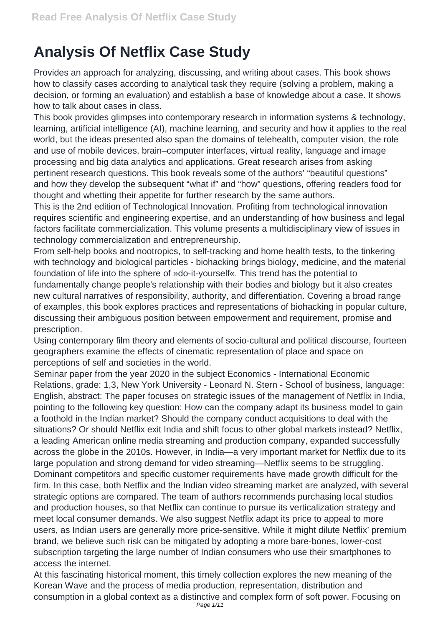## **Analysis Of Netflix Case Study**

Provides an approach for analyzing, discussing, and writing about cases. This book shows how to classify cases according to analytical task they require (solving a problem, making a decision, or forming an evaluation) and establish a base of knowledge about a case. It shows how to talk about cases in class.

This book provides glimpses into contemporary research in information systems & technology, learning, artificial intelligence (AI), machine learning, and security and how it applies to the real world, but the ideas presented also span the domains of telehealth, computer vision, the role and use of mobile devices, brain–computer interfaces, virtual reality, language and image processing and big data analytics and applications. Great research arises from asking pertinent research questions. This book reveals some of the authors' "beautiful questions" and how they develop the subsequent "what if" and "how" questions, offering readers food for thought and whetting their appetite for further research by the same authors.

This is the 2nd edition of Technological Innovation. Profiting from technological innovation requires scientific and engineering expertise, and an understanding of how business and legal factors facilitate commercialization. This volume presents a multidisciplinary view of issues in technology commercialization and entrepreneurship.

From self-help books and nootropics, to self-tracking and home health tests, to the tinkering with technology and biological particles - biohacking brings biology, medicine, and the material foundation of life into the sphere of »do-it-yourself«. This trend has the potential to fundamentally change people's relationship with their bodies and biology but it also creates new cultural narratives of responsibility, authority, and differentiation. Covering a broad range of examples, this book explores practices and representations of biohacking in popular culture, discussing their ambiguous position between empowerment and requirement, promise and prescription.

Using contemporary film theory and elements of socio-cultural and political discourse, fourteen geographers examine the effects of cinematic representation of place and space on perceptions of self and societies in the world.

Seminar paper from the year 2020 in the subject Economics - International Economic Relations, grade: 1,3, New York University - Leonard N. Stern - School of business, language: English, abstract: The paper focuses on strategic issues of the management of Netflix in India, pointing to the following key question: How can the company adapt its business model to gain a foothold in the Indian market? Should the company conduct acquisitions to deal with the situations? Or should Netflix exit India and shift focus to other global markets instead? Netflix, a leading American online media streaming and production company, expanded successfully across the globe in the 2010s. However, in India—a very important market for Netflix due to its large population and strong demand for video streaming—Netflix seems to be struggling. Dominant competitors and specific customer requirements have made growth difficult for the firm. In this case, both Netflix and the Indian video streaming market are analyzed, with several strategic options are compared. The team of authors recommends purchasing local studios and production houses, so that Netflix can continue to pursue its verticalization strategy and meet local consumer demands. We also suggest Netflix adapt its price to appeal to more users, as Indian users are generally more price-sensitive. While it might dilute Netflix' premium brand, we believe such risk can be mitigated by adopting a more bare-bones, lower-cost subscription targeting the large number of Indian consumers who use their smartphones to access the internet.

At this fascinating historical moment, this timely collection explores the new meaning of the Korean Wave and the process of media production, representation, distribution and consumption in a global context as a distinctive and complex form of soft power. Focusing on Page 1/11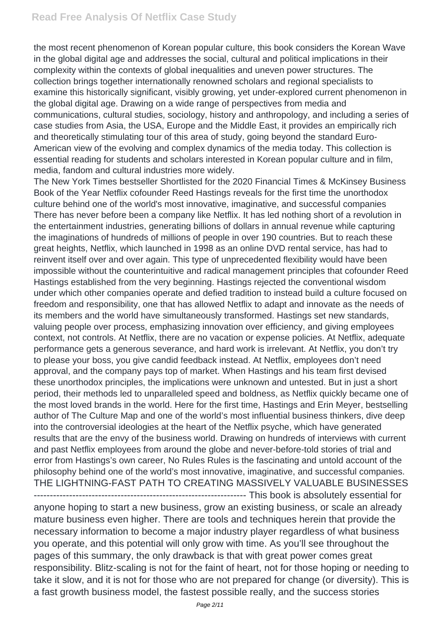the most recent phenomenon of Korean popular culture, this book considers the Korean Wave in the global digital age and addresses the social, cultural and political implications in their complexity within the contexts of global inequalities and uneven power structures. The collection brings together internationally renowned scholars and regional specialists to examine this historically significant, visibly growing, yet under-explored current phenomenon in the global digital age. Drawing on a wide range of perspectives from media and communications, cultural studies, sociology, history and anthropology, and including a series of case studies from Asia, the USA, Europe and the Middle East, it provides an empirically rich and theoretically stimulating tour of this area of study, going beyond the standard Euro-American view of the evolving and complex dynamics of the media today. This collection is essential reading for students and scholars interested in Korean popular culture and in film, media, fandom and cultural industries more widely.

The New York Times bestseller Shortlisted for the 2020 Financial Times & McKinsey Business Book of the Year Netflix cofounder Reed Hastings reveals for the first time the unorthodox culture behind one of the world's most innovative, imaginative, and successful companies There has never before been a company like Netflix. It has led nothing short of a revolution in the entertainment industries, generating billions of dollars in annual revenue while capturing the imaginations of hundreds of millions of people in over 190 countries. But to reach these great heights, Netflix, which launched in 1998 as an online DVD rental service, has had to reinvent itself over and over again. This type of unprecedented flexibility would have been impossible without the counterintuitive and radical management principles that cofounder Reed Hastings established from the very beginning. Hastings rejected the conventional wisdom under which other companies operate and defied tradition to instead build a culture focused on freedom and responsibility, one that has allowed Netflix to adapt and innovate as the needs of its members and the world have simultaneously transformed. Hastings set new standards, valuing people over process, emphasizing innovation over efficiency, and giving employees context, not controls. At Netflix, there are no vacation or expense policies. At Netflix, adequate performance gets a generous severance, and hard work is irrelevant. At Netflix, you don't try to please your boss, you give candid feedback instead. At Netflix, employees don't need approval, and the company pays top of market. When Hastings and his team first devised these unorthodox principles, the implications were unknown and untested. But in just a short period, their methods led to unparalleled speed and boldness, as Netflix quickly became one of the most loved brands in the world. Here for the first time, Hastings and Erin Meyer, bestselling author of The Culture Map and one of the world's most influential business thinkers, dive deep into the controversial ideologies at the heart of the Netflix psyche, which have generated results that are the envy of the business world. Drawing on hundreds of interviews with current and past Netflix employees from around the globe and never-before-told stories of trial and error from Hastings's own career, No Rules Rules is the fascinating and untold account of the philosophy behind one of the world's most innovative, imaginative, and successful companies. THE LIGHTNING-FAST PATH TO CREATING MASSIVELY VALUABLE BUSINESSES ------------------------------------------------------------------ This book is absolutely essential for anyone hoping to start a new business, grow an existing business, or scale an already mature business even higher. There are tools and techniques herein that provide the necessary information to become a major industry player regardless of what business you operate, and this potential will only grow with time. As you'll see throughout the pages of this summary, the only drawback is that with great power comes great responsibility. Blitz-scaling is not for the faint of heart, not for those hoping or needing to take it slow, and it is not for those who are not prepared for change (or diversity). This is a fast growth business model, the fastest possible really, and the success stories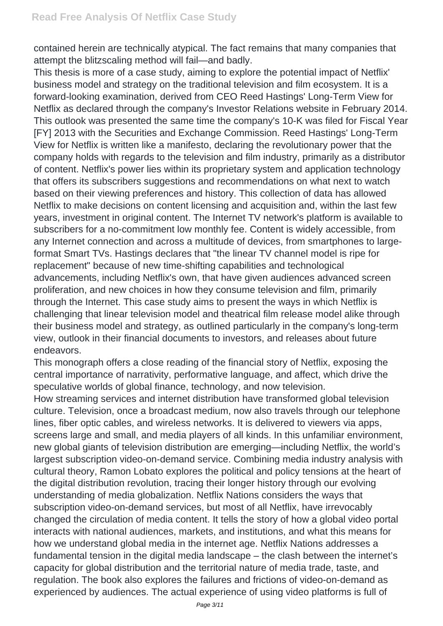contained herein are technically atypical. The fact remains that many companies that attempt the blitzscaling method will fail—and badly.

This thesis is more of a case study, aiming to explore the potential impact of Netflix' business model and strategy on the traditional television and film ecosystem. It is a forward-looking examination, derived from CEO Reed Hastings' Long-Term View for Netflix as declared through the company's Investor Relations website in February 2014. This outlook was presented the same time the company's 10-K was filed for Fiscal Year [FY] 2013 with the Securities and Exchange Commission. Reed Hastings' Long-Term View for Netflix is written like a manifesto, declaring the revolutionary power that the company holds with regards to the television and film industry, primarily as a distributor of content. Netflix's power lies within its proprietary system and application technology that offers its subscribers suggestions and recommendations on what next to watch based on their viewing preferences and history. This collection of data has allowed Netflix to make decisions on content licensing and acquisition and, within the last few years, investment in original content. The Internet TV network's platform is available to subscribers for a no-commitment low monthly fee. Content is widely accessible, from any Internet connection and across a multitude of devices, from smartphones to largeformat Smart TVs. Hastings declares that "the linear TV channel model is ripe for replacement" because of new time-shifting capabilities and technological advancements, including Netflix's own, that have given audiences advanced screen proliferation, and new choices in how they consume television and film, primarily through the Internet. This case study aims to present the ways in which Netflix is challenging that linear television model and theatrical film release model alike through their business model and strategy, as outlined particularly in the company's long-term view, outlook in their financial documents to investors, and releases about future endeavors.

This monograph offers a close reading of the financial story of Netflix, exposing the central importance of narrativity, performative language, and affect, which drive the speculative worlds of global finance, technology, and now television.

How streaming services and internet distribution have transformed global television culture. Television, once a broadcast medium, now also travels through our telephone lines, fiber optic cables, and wireless networks. It is delivered to viewers via apps, screens large and small, and media players of all kinds. In this unfamiliar environment, new global giants of television distribution are emerging—including Netflix, the world's largest subscription video-on-demand service. Combining media industry analysis with cultural theory, Ramon Lobato explores the political and policy tensions at the heart of the digital distribution revolution, tracing their longer history through our evolving understanding of media globalization. Netflix Nations considers the ways that subscription video-on-demand services, but most of all Netflix, have irrevocably changed the circulation of media content. It tells the story of how a global video portal interacts with national audiences, markets, and institutions, and what this means for how we understand global media in the internet age. Netflix Nations addresses a fundamental tension in the digital media landscape – the clash between the internet's capacity for global distribution and the territorial nature of media trade, taste, and regulation. The book also explores the failures and frictions of video-on-demand as experienced by audiences. The actual experience of using video platforms is full of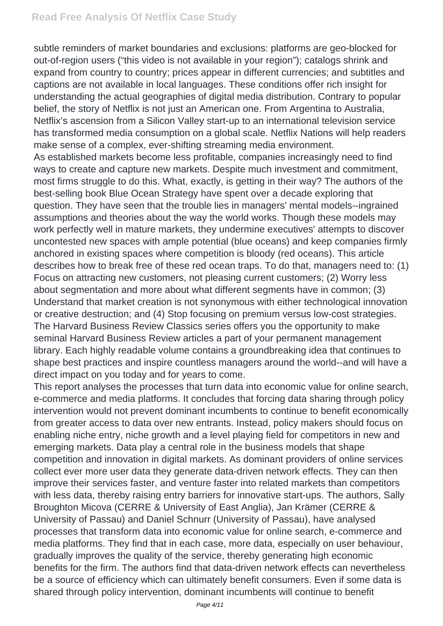subtle reminders of market boundaries and exclusions: platforms are geo-blocked for out-of-region users ("this video is not available in your region"); catalogs shrink and expand from country to country; prices appear in different currencies; and subtitles and captions are not available in local languages. These conditions offer rich insight for understanding the actual geographies of digital media distribution. Contrary to popular belief, the story of Netflix is not just an American one. From Argentina to Australia, Netflix's ascension from a Silicon Valley start-up to an international television service has transformed media consumption on a global scale. Netflix Nations will help readers make sense of a complex, ever-shifting streaming media environment. As established markets become less profitable, companies increasingly need to find ways to create and capture new markets. Despite much investment and commitment, most firms struggle to do this. What, exactly, is getting in their way? The authors of the best-selling book Blue Ocean Strategy have spent over a decade exploring that question. They have seen that the trouble lies in managers' mental models--ingrained assumptions and theories about the way the world works. Though these models may work perfectly well in mature markets, they undermine executives' attempts to discover uncontested new spaces with ample potential (blue oceans) and keep companies firmly anchored in existing spaces where competition is bloody (red oceans). This article describes how to break free of these red ocean traps. To do that, managers need to: (1) Focus on attracting new customers, not pleasing current customers; (2) Worry less about segmentation and more about what different segments have in common; (3) Understand that market creation is not synonymous with either technological innovation or creative destruction; and (4) Stop focusing on premium versus low-cost strategies. The Harvard Business Review Classics series offers you the opportunity to make seminal Harvard Business Review articles a part of your permanent management library. Each highly readable volume contains a groundbreaking idea that continues to shape best practices and inspire countless managers around the world--and will have a direct impact on you today and for years to come.

This report analyses the processes that turn data into economic value for online search, e-commerce and media platforms. It concludes that forcing data sharing through policy intervention would not prevent dominant incumbents to continue to benefit economically from greater access to data over new entrants. Instead, policy makers should focus on enabling niche entry, niche growth and a level playing field for competitors in new and emerging markets. Data play a central role in the business models that shape competition and innovation in digital markets. As dominant providers of online services collect ever more user data they generate data-driven network effects. They can then improve their services faster, and venture faster into related markets than competitors with less data, thereby raising entry barriers for innovative start-ups. The authors, Sally Broughton Micova (CERRE & University of East Anglia), Jan Krämer (CERRE & University of Passau) and Daniel Schnurr (University of Passau), have analysed processes that transform data into economic value for online search, e-commerce and media platforms. They find that in each case, more data, especially on user behaviour, gradually improves the quality of the service, thereby generating high economic benefits for the firm. The authors find that data-driven network effects can nevertheless be a source of efficiency which can ultimately benefit consumers. Even if some data is shared through policy intervention, dominant incumbents will continue to benefit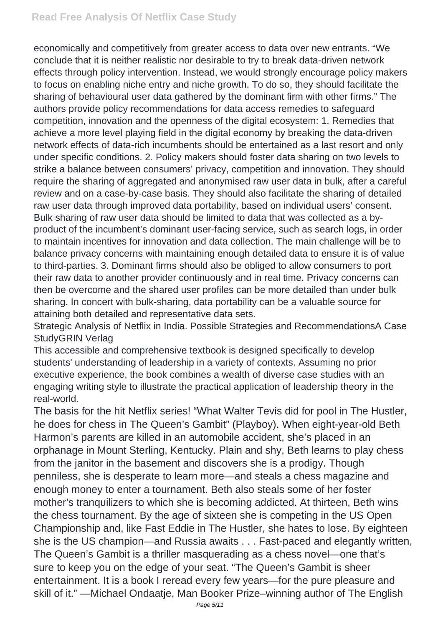economically and competitively from greater access to data over new entrants. "We conclude that it is neither realistic nor desirable to try to break data-driven network effects through policy intervention. Instead, we would strongly encourage policy makers to focus on enabling niche entry and niche growth. To do so, they should facilitate the sharing of behavioural user data gathered by the dominant firm with other firms." The authors provide policy recommendations for data access remedies to safeguard competition, innovation and the openness of the digital ecosystem: 1. Remedies that achieve a more level playing field in the digital economy by breaking the data-driven network effects of data-rich incumbents should be entertained as a last resort and only under specific conditions. 2. Policy makers should foster data sharing on two levels to strike a balance between consumers' privacy, competition and innovation. They should require the sharing of aggregated and anonymised raw user data in bulk, after a careful review and on a case-by-case basis. They should also facilitate the sharing of detailed raw user data through improved data portability, based on individual users' consent. Bulk sharing of raw user data should be limited to data that was collected as a byproduct of the incumbent's dominant user-facing service, such as search logs, in order to maintain incentives for innovation and data collection. The main challenge will be to balance privacy concerns with maintaining enough detailed data to ensure it is of value to third-parties. 3. Dominant firms should also be obliged to allow consumers to port their raw data to another provider continuously and in real time. Privacy concerns can then be overcome and the shared user profiles can be more detailed than under bulk sharing. In concert with bulk-sharing, data portability can be a valuable source for attaining both detailed and representative data sets.

Strategic Analysis of Netflix in India. Possible Strategies and RecommendationsA Case StudyGRIN Verlag

This accessible and comprehensive textbook is designed specifically to develop students' understanding of leadership in a variety of contexts. Assuming no prior executive experience, the book combines a wealth of diverse case studies with an engaging writing style to illustrate the practical application of leadership theory in the real-world.

The basis for the hit Netflix series! "What Walter Tevis did for pool in The Hustler, he does for chess in The Queen's Gambit" (Playboy). When eight-year-old Beth Harmon's parents are killed in an automobile accident, she's placed in an orphanage in Mount Sterling, Kentucky. Plain and shy, Beth learns to play chess from the janitor in the basement and discovers she is a prodigy. Though penniless, she is desperate to learn more—and steals a chess magazine and enough money to enter a tournament. Beth also steals some of her foster mother's tranquilizers to which she is becoming addicted. At thirteen, Beth wins the chess tournament. By the age of sixteen she is competing in the US Open Championship and, like Fast Eddie in The Hustler, she hates to lose. By eighteen she is the US champion—and Russia awaits . . . Fast-paced and elegantly written, The Queen's Gambit is a thriller masquerading as a chess novel—one that's sure to keep you on the edge of your seat. "The Queen's Gambit is sheer entertainment. It is a book I reread every few years—for the pure pleasure and skill of it." —Michael Ondaatje, Man Booker Prize–winning author of The English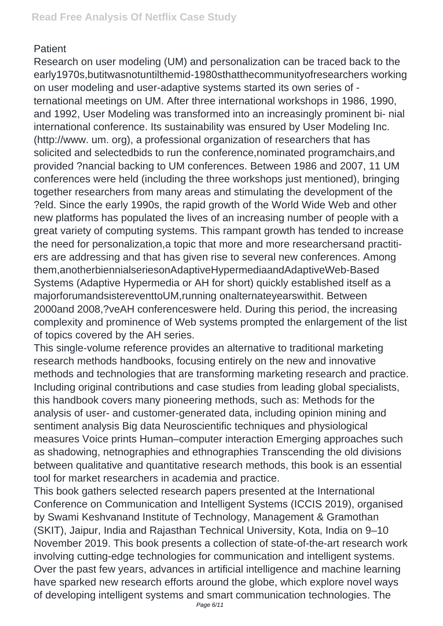## **Patient**

Research on user modeling (UM) and personalization can be traced back to the early1970s,butitwasnotuntilthemid-1980sthatthecommunityofresearchers working on user modeling and user-adaptive systems started its own series of ternational meetings on UM. After three international workshops in 1986, 1990, and 1992, User Modeling was transformed into an increasingly prominent bi- nial international conference. Its sustainability was ensured by User Modeling Inc. (http://www. um. org), a professional organization of researchers that has solicited and selectedbids to run the conference,nominated programchairs,and provided ?nancial backing to UM conferences. Between 1986 and 2007, 11 UM conferences were held (including the three workshops just mentioned), bringing together researchers from many areas and stimulating the development of the ?eld. Since the early 1990s, the rapid growth of the World Wide Web and other new platforms has populated the lives of an increasing number of people with a great variety of computing systems. This rampant growth has tended to increase the need for personalization,a topic that more and more researchersand practitiers are addressing and that has given rise to several new conferences. Among them,anotherbiennialseriesonAdaptiveHypermediaandAdaptiveWeb-Based Systems (Adaptive Hypermedia or AH for short) quickly established itself as a majorforumandsistereventtoUM,running onalternateyearswithit. Between 2000and 2008,?veAH conferenceswere held. During this period, the increasing complexity and prominence of Web systems prompted the enlargement of the list of topics covered by the AH series.

This single-volume reference provides an alternative to traditional marketing research methods handbooks, focusing entirely on the new and innovative methods and technologies that are transforming marketing research and practice. Including original contributions and case studies from leading global specialists, this handbook covers many pioneering methods, such as: Methods for the analysis of user- and customer-generated data, including opinion mining and sentiment analysis Big data Neuroscientific techniques and physiological measures Voice prints Human–computer interaction Emerging approaches such as shadowing, netnographies and ethnographies Transcending the old divisions between qualitative and quantitative research methods, this book is an essential tool for market researchers in academia and practice.

This book gathers selected research papers presented at the International Conference on Communication and Intelligent Systems (ICCIS 2019), organised by Swami Keshvanand Institute of Technology, Management & Gramothan (SKIT), Jaipur, India and Rajasthan Technical University, Kota, India on 9–10 November 2019. This book presents a collection of state-of-the-art research work involving cutting-edge technologies for communication and intelligent systems. Over the past few years, advances in artificial intelligence and machine learning have sparked new research efforts around the globe, which explore novel ways of developing intelligent systems and smart communication technologies. The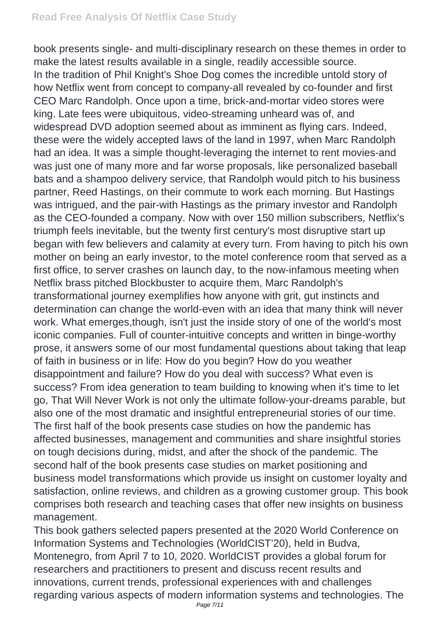book presents single- and multi-disciplinary research on these themes in order to make the latest results available in a single, readily accessible source. In the tradition of Phil Knight's Shoe Dog comes the incredible untold story of how Netflix went from concept to company-all revealed by co-founder and first CEO Marc Randolph. Once upon a time, brick-and-mortar video stores were king. Late fees were ubiquitous, video-streaming unheard was of, and widespread DVD adoption seemed about as imminent as flying cars. Indeed, these were the widely accepted laws of the land in 1997, when Marc Randolph had an idea. It was a simple thought-leveraging the internet to rent movies-and was just one of many more and far worse proposals, like personalized baseball bats and a shampoo delivery service, that Randolph would pitch to his business partner, Reed Hastings, on their commute to work each morning. But Hastings was intrigued, and the pair-with Hastings as the primary investor and Randolph as the CEO-founded a company. Now with over 150 million subscribers, Netflix's triumph feels inevitable, but the twenty first century's most disruptive start up began with few believers and calamity at every turn. From having to pitch his own mother on being an early investor, to the motel conference room that served as a first office, to server crashes on launch day, to the now-infamous meeting when Netflix brass pitched Blockbuster to acquire them, Marc Randolph's transformational journey exemplifies how anyone with grit, gut instincts and determination can change the world-even with an idea that many think will never work. What emerges,though, isn't just the inside story of one of the world's most iconic companies. Full of counter-intuitive concepts and written in binge-worthy prose, it answers some of our most fundamental questions about taking that leap of faith in business or in life: How do you begin? How do you weather disappointment and failure? How do you deal with success? What even is success? From idea generation to team building to knowing when it's time to let go, That Will Never Work is not only the ultimate follow-your-dreams parable, but also one of the most dramatic and insightful entrepreneurial stories of our time. The first half of the book presents case studies on how the pandemic has affected businesses, management and communities and share insightful stories on tough decisions during, midst, and after the shock of the pandemic. The second half of the book presents case studies on market positioning and business model transformations which provide us insight on customer loyalty and satisfaction, online reviews, and children as a growing customer group. This book comprises both research and teaching cases that offer new insights on business management.

This book gathers selected papers presented at the 2020 World Conference on Information Systems and Technologies (WorldCIST'20), held in Budva, Montenegro, from April 7 to 10, 2020. WorldCIST provides a global forum for researchers and practitioners to present and discuss recent results and innovations, current trends, professional experiences with and challenges regarding various aspects of modern information systems and technologies. The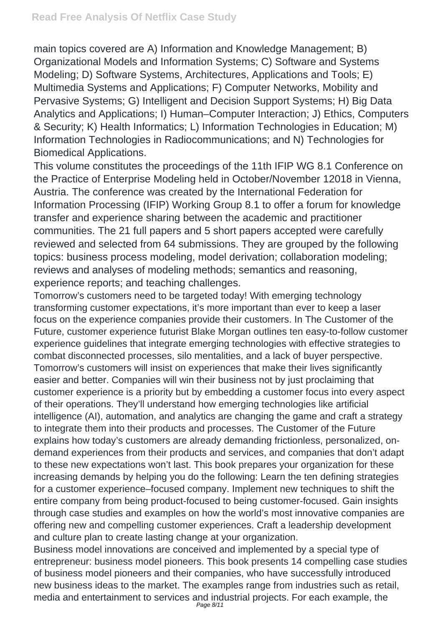main topics covered are A) Information and Knowledge Management; B) Organizational Models and Information Systems; C) Software and Systems Modeling; D) Software Systems, Architectures, Applications and Tools; E) Multimedia Systems and Applications; F) Computer Networks, Mobility and Pervasive Systems; G) Intelligent and Decision Support Systems; H) Big Data Analytics and Applications; I) Human–Computer Interaction; J) Ethics, Computers & Security; K) Health Informatics; L) Information Technologies in Education; M) Information Technologies in Radiocommunications; and N) Technologies for Biomedical Applications.

This volume constitutes the proceedings of the 11th IFIP WG 8.1 Conference on the Practice of Enterprise Modeling held in October/November 12018 in Vienna, Austria. The conference was created by the International Federation for Information Processing (IFIP) Working Group 8.1 to offer a forum for knowledge transfer and experience sharing between the academic and practitioner communities. The 21 full papers and 5 short papers accepted were carefully reviewed and selected from 64 submissions. They are grouped by the following topics: business process modeling, model derivation; collaboration modeling; reviews and analyses of modeling methods; semantics and reasoning, experience reports; and teaching challenges.

Tomorrow's customers need to be targeted today! With emerging technology transforming customer expectations, it's more important than ever to keep a laser focus on the experience companies provide their customers. In The Customer of the Future, customer experience futurist Blake Morgan outlines ten easy-to-follow customer experience guidelines that integrate emerging technologies with effective strategies to combat disconnected processes, silo mentalities, and a lack of buyer perspective. Tomorrow's customers will insist on experiences that make their lives significantly easier and better. Companies will win their business not by just proclaiming that customer experience is a priority but by embedding a customer focus into every aspect of their operations. They'll understand how emerging technologies like artificial intelligence (AI), automation, and analytics are changing the game and craft a strategy to integrate them into their products and processes. The Customer of the Future explains how today's customers are already demanding frictionless, personalized, ondemand experiences from their products and services, and companies that don't adapt to these new expectations won't last. This book prepares your organization for these increasing demands by helping you do the following: Learn the ten defining strategies for a customer experience–focused company. Implement new techniques to shift the entire company from being product-focused to being customer-focused. Gain insights through case studies and examples on how the world's most innovative companies are offering new and compelling customer experiences. Craft a leadership development and culture plan to create lasting change at your organization.

Business model innovations are conceived and implemented by a special type of entrepreneur: business model pioneers. This book presents 14 compelling case studies of business model pioneers and their companies, who have successfully introduced new business ideas to the market. The examples range from industries such as retail, media and entertainment to services and industrial projects. For each example, the Page 8/11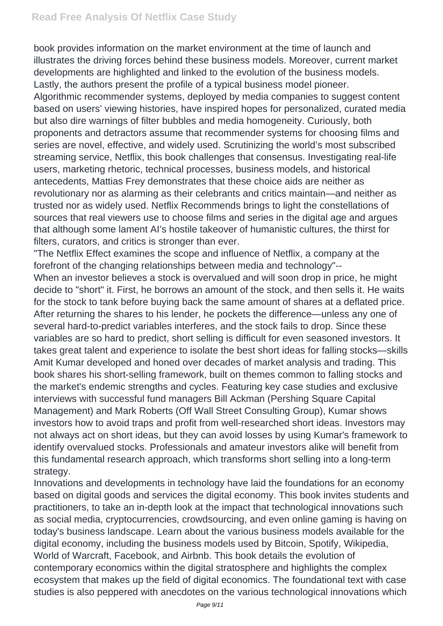book provides information on the market environment at the time of launch and illustrates the driving forces behind these business models. Moreover, current market developments are highlighted and linked to the evolution of the business models. Lastly, the authors present the profile of a typical business model pioneer. Algorithmic recommender systems, deployed by media companies to suggest content based on users' viewing histories, have inspired hopes for personalized, curated media but also dire warnings of filter bubbles and media homogeneity. Curiously, both proponents and detractors assume that recommender systems for choosing films and series are novel, effective, and widely used. Scrutinizing the world's most subscribed streaming service, Netflix, this book challenges that consensus. Investigating real-life users, marketing rhetoric, technical processes, business models, and historical antecedents, Mattias Frey demonstrates that these choice aids are neither as revolutionary nor as alarming as their celebrants and critics maintain—and neither as trusted nor as widely used. Netflix Recommends brings to light the constellations of sources that real viewers use to choose films and series in the digital age and argues that although some lament AI's hostile takeover of humanistic cultures, the thirst for filters, curators, and critics is stronger than ever.

"The Netflix Effect examines the scope and influence of Netflix, a company at the forefront of the changing relationships between media and technology"--

When an investor believes a stock is overvalued and will soon drop in price, he might decide to "short" it. First, he borrows an amount of the stock, and then sells it. He waits for the stock to tank before buying back the same amount of shares at a deflated price. After returning the shares to his lender, he pockets the difference—unless any one of several hard-to-predict variables interferes, and the stock fails to drop. Since these variables are so hard to predict, short selling is difficult for even seasoned investors. It takes great talent and experience to isolate the best short ideas for falling stocks—skills Amit Kumar developed and honed over decades of market analysis and trading. This book shares his short-selling framework, built on themes common to falling stocks and the market's endemic strengths and cycles. Featuring key case studies and exclusive interviews with successful fund managers Bill Ackman (Pershing Square Capital Management) and Mark Roberts (Off Wall Street Consulting Group), Kumar shows investors how to avoid traps and profit from well-researched short ideas. Investors may not always act on short ideas, but they can avoid losses by using Kumar's framework to identify overvalued stocks. Professionals and amateur investors alike will benefit from this fundamental research approach, which transforms short selling into a long-term strategy.

Innovations and developments in technology have laid the foundations for an economy based on digital goods and services the digital economy. This book invites students and practitioners, to take an in-depth look at the impact that technological innovations such as social media, cryptocurrencies, crowdsourcing, and even online gaming is having on today's business landscape. Learn about the various business models available for the digital economy, including the business models used by Bitcoin, Spotify, Wikipedia, World of Warcraft, Facebook, and Airbnb. This book details the evolution of contemporary economics within the digital stratosphere and highlights the complex ecosystem that makes up the field of digital economics. The foundational text with case studies is also peppered with anecdotes on the various technological innovations which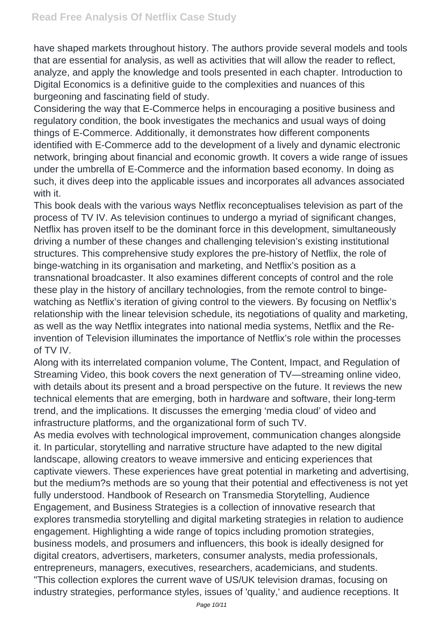have shaped markets throughout history. The authors provide several models and tools that are essential for analysis, as well as activities that will allow the reader to reflect, analyze, and apply the knowledge and tools presented in each chapter. Introduction to Digital Economics is a definitive guide to the complexities and nuances of this burgeoning and fascinating field of study.

Considering the way that E-Commerce helps in encouraging a positive business and regulatory condition, the book investigates the mechanics and usual ways of doing things of E-Commerce. Additionally, it demonstrates how different components identified with E-Commerce add to the development of a lively and dynamic electronic network, bringing about financial and economic growth. It covers a wide range of issues under the umbrella of E-Commerce and the information based economy. In doing as such, it dives deep into the applicable issues and incorporates all advances associated with it.

This book deals with the various ways Netflix reconceptualises television as part of the process of TV IV. As television continues to undergo a myriad of significant changes, Netflix has proven itself to be the dominant force in this development, simultaneously driving a number of these changes and challenging television's existing institutional structures. This comprehensive study explores the pre-history of Netflix, the role of binge-watching in its organisation and marketing, and Netflix's position as a transnational broadcaster. It also examines different concepts of control and the role these play in the history of ancillary technologies, from the remote control to bingewatching as Netflix's iteration of giving control to the viewers. By focusing on Netflix's relationship with the linear television schedule, its negotiations of quality and marketing, as well as the way Netflix integrates into national media systems, Netflix and the Reinvention of Television illuminates the importance of Netflix's role within the processes of TV IV.

Along with its interrelated companion volume, The Content, Impact, and Regulation of Streaming Video, this book covers the next generation of TV—streaming online video, with details about its present and a broad perspective on the future. It reviews the new technical elements that are emerging, both in hardware and software, their long-term trend, and the implications. It discusses the emerging 'media cloud' of video and infrastructure platforms, and the organizational form of such TV.

As media evolves with technological improvement, communication changes alongside it. In particular, storytelling and narrative structure have adapted to the new digital landscape, allowing creators to weave immersive and enticing experiences that captivate viewers. These experiences have great potential in marketing and advertising, but the medium?s methods are so young that their potential and effectiveness is not yet fully understood. Handbook of Research on Transmedia Storytelling, Audience Engagement, and Business Strategies is a collection of innovative research that explores transmedia storytelling and digital marketing strategies in relation to audience engagement. Highlighting a wide range of topics including promotion strategies, business models, and prosumers and influencers, this book is ideally designed for digital creators, advertisers, marketers, consumer analysts, media professionals, entrepreneurs, managers, executives, researchers, academicians, and students. "This collection explores the current wave of US/UK television dramas, focusing on industry strategies, performance styles, issues of 'quality,' and audience receptions. It